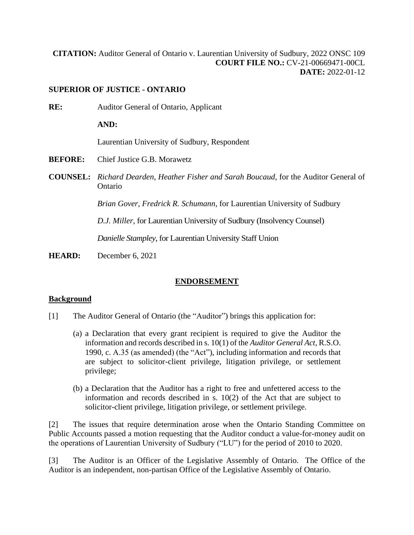**[CITATION:](http://intra.judicialsecurity.jus.gov.on.ca/NeutralCitation/)** Auditor General of Ontario v. Laurentian University of Sudbury, 2022 ONSC 109 **COURT FILE NO.:** CV-21-00669471-00CL **DATE:** 2022-01-12

### **SUPERIOR OF JUSTICE - ONTARIO**

**RE:** Auditor General of Ontario, Applicant **AND:** Laurentian University of Sudbury, Respondent **BEFORE:** Chief Justice G.B. Morawetz **COUNSEL:** *Richard Dearden, Heather Fisher and Sarah Boucaud*, for the Auditor General of Ontario *Brian Gover, Fredrick R. Schumann*, for Laurentian University of Sudbury *D.J. Miller,* for Laurentian University of Sudbury (Insolvency Counsel)

*Danielle Stampley*, for Laurentian University Staff Union

**HEARD:** December 6, 2021

## **ENDORSEMENT**

### **Background**

- [1] The Auditor General of Ontario (the "Auditor") brings this application for:
	- (a) a Declaration that every grant recipient is required to give the Auditor the information and records described in s. 10(1) of the *Auditor General Act*, R.S.O. 1990, c. A.35 (as amended) (the "Act"), including information and records that are subject to solicitor-client privilege, litigation privilege, or settlement privilege;
	- (b) a Declaration that the Auditor has a right to free and unfettered access to the information and records described in s. 10(2) of the Act that are subject to solicitor-client privilege, litigation privilege, or settlement privilege.

[2] The issues that require determination arose when the Ontario Standing Committee on Public Accounts passed a motion requesting that the Auditor conduct a value-for-money audit on the operations of Laurentian University of Sudbury ("LU") for the period of 2010 to 2020.

[3] The Auditor is an Officer of the Legislative Assembly of Ontario. The Office of the Auditor is an independent, non-partisan Office of the Legislative Assembly of Ontario.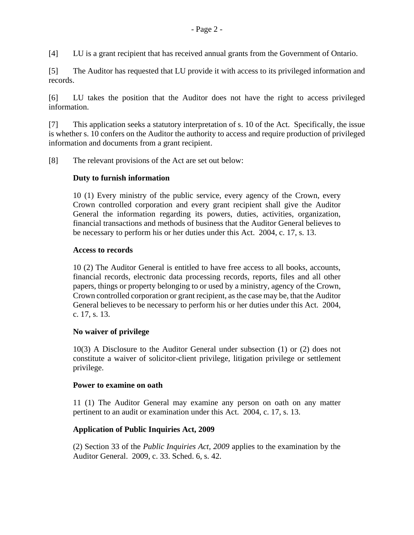[4] LU is a grant recipient that has received annual grants from the Government of Ontario.

[5] The Auditor has requested that LU provide it with access to its privileged information and records.

[6] LU takes the position that the Auditor does not have the right to access privileged information.

[7] This application seeks a statutory interpretation of s. 10 of the Act. Specifically, the issue is whether s. 10 confers on the Auditor the authority to access and require production of privileged information and documents from a grant recipient.

[8] The relevant provisions of the Act are set out below:

### **Duty to furnish information**

10 (1) Every ministry of the public service, every agency of the Crown, every Crown controlled corporation and every grant recipient shall give the Auditor General the information regarding its powers, duties, activities, organization, financial transactions and methods of business that the Auditor General believes to be necessary to perform his or her duties under this Act. 2004, c. 17, s. 13.

### **Access to records**

10 (2) The Auditor General is entitled to have free access to all books, accounts, financial records, electronic data processing records, reports, files and all other papers, things or property belonging to or used by a ministry, agency of the Crown, Crown controlled corporation or grant recipient, as the case may be, that the Auditor General believes to be necessary to perform his or her duties under this Act. 2004, c. 17, s. 13.

### **No waiver of privilege**

10(3) A Disclosure to the Auditor General under subsection (1) or (2) does not constitute a waiver of solicitor-client privilege, litigation privilege or settlement privilege.

### **Power to examine on oath**

11 (1) The Auditor General may examine any person on oath on any matter pertinent to an audit or examination under this Act. 2004, c. 17, s. 13.

### **Application of Public Inquiries Act, 2009**

(2) Section 33 of the *Public Inquiries Act, 2009* applies to the examination by the Auditor General. 2009, c. 33. Sched. 6, s. 42.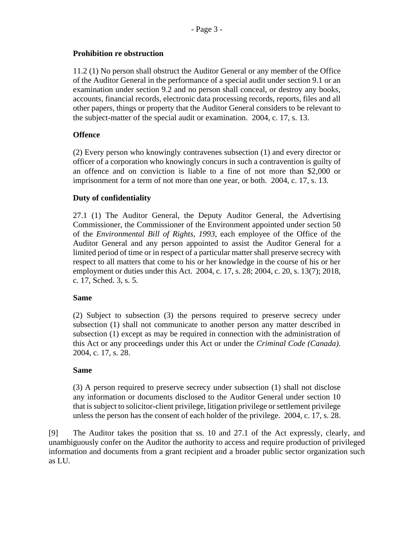## **Prohibition re obstruction**

11.2 (1) No person shall obstruct the Auditor General or any member of the Office of the Auditor General in the performance of a special audit under section 9.1 or an examination under section 9.2 and no person shall conceal, or destroy any books, accounts, financial records, electronic data processing records, reports, files and all other papers, things or property that the Auditor General considers to be relevant to the subject-matter of the special audit or examination. 2004, c. 17, s. 13.

## **Offence**

(2) Every person who knowingly contravenes subsection (1) and every director or officer of a corporation who knowingly concurs in such a contravention is guilty of an offence and on conviction is liable to a fine of not more than \$2,000 or imprisonment for a term of not more than one year, or both. 2004, c. 17, s. 13.

## **Duty of confidentiality**

27.1 (1) The Auditor General, the Deputy Auditor General, the Advertising Commissioner, the Commissioner of the Environment appointed under section 50 of the *Environmental Bill of Rights, 1993*, each employee of the Office of the Auditor General and any person appointed to assist the Auditor General for a limited period of time or in respect of a particular matter shall preserve secrecy with respect to all matters that come to his or her knowledge in the course of his or her employment or duties under this Act. 2004, c. 17, s. 28; 2004, c. 20, s. 13(7); 2018, c. 17, Sched. 3, s. 5.

## **Same**

(2) Subject to subsection (3) the persons required to preserve secrecy under subsection (1) shall not communicate to another person any matter described in subsection (1) except as may be required in connection with the administration of this Act or any proceedings under this Act or under the *Criminal Code (Canada)*. 2004, c. 17, s. 28.

## **Same**

(3) A person required to preserve secrecy under subsection (1) shall not disclose any information or documents disclosed to the Auditor General under section 10 that is subject to solicitor-client privilege, litigation privilege or settlement privilege unless the person has the consent of each holder of the privilege. 2004, c. 17, s. 28.

[9] The Auditor takes the position that ss. 10 and 27.1 of the Act expressly, clearly, and unambiguously confer on the Auditor the authority to access and require production of privileged information and documents from a grant recipient and a broader public sector organization such as LU.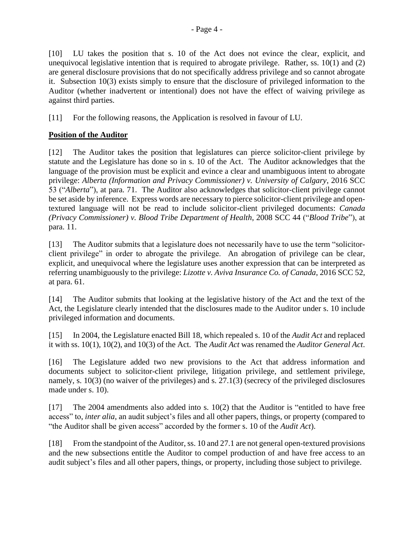[10] LU takes the position that s. 10 of the Act does not evince the clear, explicit, and unequivocal legislative intention that is required to abrogate privilege. Rather, ss. 10(1) and (2) are general disclosure provisions that do not specifically address privilege and so cannot abrogate it. Subsection 10(3) exists simply to ensure that the disclosure of privileged information to the Auditor (whether inadvertent or intentional) does not have the effect of waiving privilege as against third parties.

[11] For the following reasons, the Application is resolved in favour of LU.

# **Position of the Auditor**

[12] The Auditor takes the position that legislatures can pierce solicitor-client privilege by statute and the Legislature has done so in s. 10 of the Act. The Auditor acknowledges that the language of the provision must be explicit and evince a clear and unambiguous intent to abrogate privilege: *Alberta (Information and Privacy Commissioner) v. University of Calgary*, 2016 SCC 53 ("*Alberta*"), at para. 71. The Auditor also acknowledges that solicitor-client privilege cannot be set aside by inference. Express words are necessary to pierce solicitor-client privilege and opentextured language will not be read to include solicitor-client privileged documents: *Canada (Privacy Commissioner) v. Blood Tribe Department of Health*, 2008 SCC 44 ("*Blood Tribe*"), at para. 11.

[13] The Auditor submits that a legislature does not necessarily have to use the term "solicitorclient privilege" in order to abrogate the privilege. An abrogation of privilege can be clear, explicit, and unequivocal where the legislature uses another expression that can be interpreted as referring unambiguously to the privilege: *Lizotte v. Aviva Insurance Co. of Canada*, 2016 SCC 52, at para. 61.

[14] The Auditor submits that looking at the legislative history of the Act and the text of the Act, the Legislature clearly intended that the disclosures made to the Auditor under s. 10 include privileged information and documents.

[15] In 2004, the Legislature enacted Bill 18, which repealed s. 10 of the *Audit Act* and replaced it with ss. 10(1), 10(2), and 10(3) of the Act. The *Audit Act* was renamed the *Auditor General Act*.

[16] The Legislature added two new provisions to the Act that address information and documents subject to solicitor-client privilege, litigation privilege, and settlement privilege, namely, s. 10(3) (no waiver of the privileges) and s. 27.1(3) (secrecy of the privileged disclosures made under s. 10).

[17] The 2004 amendments also added into s. 10(2) that the Auditor is "entitled to have free access" to, *inter alia*, an audit subject's files and all other papers, things, or property (compared to "the Auditor shall be given access" accorded by the former s. 10 of the *Audit Act*).

[18] From the standpoint of the Auditor, ss. 10 and 27.1 are not general open-textured provisions and the new subsections entitle the Auditor to compel production of and have free access to an audit subject's files and all other papers, things, or property, including those subject to privilege.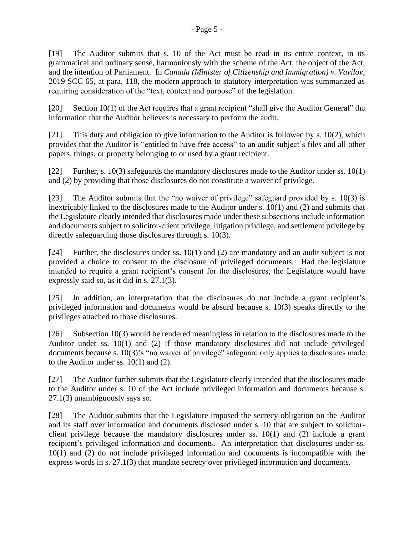[19] The Auditor submits that s. 10 of the Act must be read in its entire context, in its grammatical and ordinary sense, harmoniously with the scheme of the Act, the object of the Act, and the intention of Parliament. In *Canada (Minister of Citizenship and Immigration) v. Vavilov*, 2019 SCC 65, at para. 118, the modern approach to statutory interpretation was summarized as requiring consideration of the "text, context and purpose" of the legislation.

[20] Section 10(1) of the Act requires that a grant recipient "shall give the Auditor General" the information that the Auditor believes is necessary to perform the audit.

[21] This duty and obligation to give information to the Auditor is followed by s. 10(2), which provides that the Auditor is "entitled to have free access" to an audit subject's files and all other papers, things, or property belonging to or used by a grant recipient.

[22] Further, s. 10(3) safeguards the mandatory disclosures made to the Auditor under ss. 10(1) and (2) by providing that those disclosures do not constitute a waiver of privilege.

[23] The Auditor submits that the "no waiver of privilege" safeguard provided by s. 10(3) is inextricably linked to the disclosures made to the Auditor under s. 10(1) and (2) and submits that the Legislature clearly intended that disclosures made under these subsections include information and documents subject to solicitor-client privilege, litigation privilege, and settlement privilege by directly safeguarding those disclosures through s. 10(3).

[24] Further, the disclosures under ss. 10(1) and (2) are mandatory and an audit subject is not provided a choice to consent to the disclosure of privileged documents. Had the legislature intended to require a grant recipient's consent for the disclosures, the Legislature would have expressly said so, as it did in s. 27.1(3).

[25] In addition, an interpretation that the disclosures do not include a grant recipient's privileged information and documents would be absurd because s. 10(3) speaks directly to the privileges attached to those disclosures.

[26] Subsection 10(3) would be rendered meaningless in relation to the disclosures made to the Auditor under ss. 10(1) and (2) if those mandatory disclosures did not include privileged documents because s. 10(3)'s "no waiver of privilege" safeguard only applies to disclosures made to the Auditor under ss. 10(1) and (2).

[27] The Auditor further submits that the Legislature clearly intended that the disclosures made to the Auditor under s. 10 of the Act include privileged information and documents because s. 27.1(3) unambiguously says so.

[28] The Auditor submits that the Legislature imposed the secrecy obligation on the Auditor and its staff over information and documents disclosed under s. 10 that are subject to solicitorclient privilege because the mandatory disclosures under ss. 10(1) and (2) include a grant recipient's privileged information and documents. An interpretation that disclosures under ss. 10(1) and (2) do not include privileged information and documents is incompatible with the express words in s. 27.1(3) that mandate secrecy over privileged information and documents.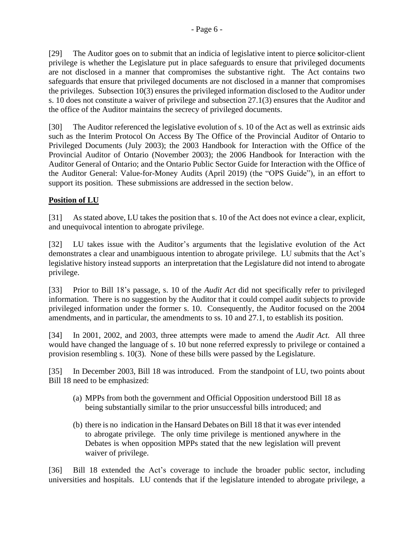[29] The Auditor goes on to submit that an indicia of legislative intent to pierce **s**olicitor-client privilege is whether the Legislature put in place safeguards to ensure that privileged documents are not disclosed in a manner that compromises the substantive right. The Act contains two safeguards that ensure that privileged documents are not disclosed in a manner that compromises the privileges. Subsection 10(3) ensures the privileged information disclosed to the Auditor under s. 10 does not constitute a waiver of privilege and subsection 27.1(3) ensures that the Auditor and the office of the Auditor maintains the secrecy of privileged documents.

[30] The Auditor referenced the legislative evolution of s. 10 of the Act as well as extrinsic aids such as the Interim Protocol On Access By The Office of the Provincial Auditor of Ontario to Privileged Documents (July 2003); the 2003 Handbook for Interaction with the Office of the Provincial Auditor of Ontario (November 2003); the 2006 Handbook for Interaction with the Auditor General of Ontario; and the Ontario Public Sector Guide for Interaction with the Office of the Auditor General: Value-for-Money Audits (April 2019) (the "OPS Guide"), in an effort to support its position. These submissions are addressed in the section below.

# **Position of LU**

[31] As stated above, LU takes the position that s. 10 of the Act does not evince a clear, explicit, and unequivocal intention to abrogate privilege.

[32] LU takes issue with the Auditor's arguments that the legislative evolution of the Act demonstrates a clear and unambiguous intention to abrogate privilege. LU submits that the Act's legislative history instead supports an interpretation that the Legislature did not intend to abrogate privilege.

[33] Prior to Bill 18's passage, s. 10 of the *Audit Act* did not specifically refer to privileged information. There is no suggestion by the Auditor that it could compel audit subjects to provide privileged information under the former s. 10. Consequently, the Auditor focused on the 2004 amendments, and in particular, the amendments to ss. 10 and 27.1, to establish its position.

[34] In 2001, 2002, and 2003, three attempts were made to amend the *Audit Act*. All three would have changed the language of s. 10 but none referred expressly to privilege or contained a provision resembling s. 10(3). None of these bills were passed by the Legislature.

[35] In December 2003, Bill 18 was introduced. From the standpoint of LU, two points about Bill 18 need to be emphasized:

- (a) MPPs from both the government and Official Opposition understood Bill 18 as being substantially similar to the prior unsuccessful bills introduced; and
- (b) there is no indication in the Hansard Debates on Bill 18 that it was ever intended to abrogate privilege. The only time privilege is mentioned anywhere in the Debates is when opposition MPPs stated that the new legislation will prevent waiver of privilege.

[36] Bill 18 extended the Act's coverage to include the broader public sector, including universities and hospitals. LU contends that if the legislature intended to abrogate privilege, a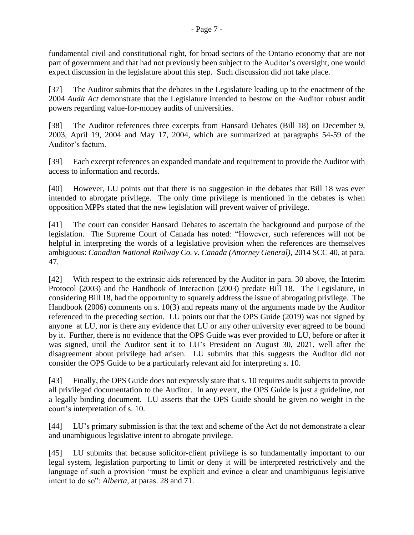fundamental civil and constitutional right, for broad sectors of the Ontario economy that are not part of government and that had not previously been subject to the Auditor's oversight, one would expect discussion in the legislature about this step. Such discussion did not take place.

[37] The Auditor submits that the debates in the Legislature leading up to the enactment of the 2004 *Audit Act* demonstrate that the Legislature intended to bestow on the Auditor robust audit powers regarding value-for-money audits of universities.

[38] The Auditor references three excerpts from Hansard Debates (Bill 18) on December 9, 2003, April 19, 2004 and May 17, 2004, which are summarized at paragraphs 54-59 of the Auditor's factum.

[39] Each excerpt references an expanded mandate and requirement to provide the Auditor with access to information and records.

[40] However, LU points out that there is no suggestion in the debates that Bill 18 was ever intended to abrogate privilege. The only time privilege is mentioned in the debates is when opposition MPPs stated that the new legislation will prevent waiver of privilege.

[41] The court can consider Hansard Debates to ascertain the background and purpose of the legislation. The Supreme Court of Canada has noted: "However, such references will not be helpful in interpreting the words of a legislative provision when the references are themselves ambiguous: *Canadian National Railway Co. v. Canada (Attorney General)*, 2014 SCC 40, at para. 47*.*

[42] With respect to the extrinsic aids referenced by the Auditor in para. 30 above, the Interim Protocol (2003) and the Handbook of Interaction (2003) predate Bill 18. The Legislature, in considering Bill 18, had the opportunity to squarely address the issue of abrogating privilege. The Handbook (2006) comments on s. 10(3) and repeats many of the arguments made by the Auditor referenced in the preceding section. LU points out that the OPS Guide (2019) was not signed by anyone at LU, nor is there any evidence that LU or any other university ever agreed to be bound by it. Further, there is no evidence that the OPS Guide was ever provided to LU, before or after it was signed, until the Auditor sent it to LU's President on August 30, 2021, well after the disagreement about privilege had arisen. LU submits that this suggests the Auditor did not consider the OPS Guide to be a particularly relevant aid for interpreting s. 10.

[43] Finally, the OPS Guide does not expressly state that s. 10 requires audit subjects to provide all privileged documentation to the Auditor. In any event, the OPS Guide is just a guideline, not a legally binding document. LU asserts that the OPS Guide should be given no weight in the court's interpretation of s. 10.

[44] LU's primary submission is that the text and scheme of the Act do not demonstrate a clear and unambiguous legislative intent to abrogate privilege.

[45] LU submits that because solicitor-client privilege is so fundamentally important to our legal system, legislation purporting to limit or deny it will be interpreted restrictively and the language of such a provision "must be explicit and evince a clear and unambiguous legislative intent to do so": *Alberta*, at paras. 28 and 71.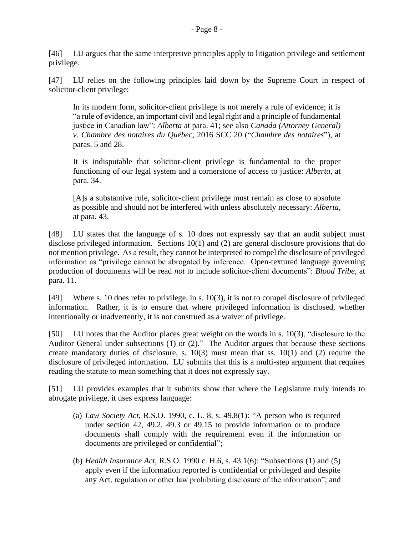[47] LU relies on the following principles laid down by the Supreme Court in respect of solicitor-client privilege:

In its modern form, solicitor-client privilege is not merely a rule of evidence; it is "a rule of evidence, an important civil and legal right and a principle of fundamental justice in Canadian law": *Alberta* at para. 41; see also *Canada (Attorney General) v. Chambre des notaires du Québec*, 2016 SCC 20 ("*Chambre des notaires*"), at paras. 5 and 28.

It is indisputable that solicitor-client privilege is fundamental to the proper functioning of our legal system and a cornerstone of access to justice: *Alberta*, at para. 34.

[A]s a substantive rule, solicitor-client privilege must remain as close to absolute as possible and should not be interfered with unless absolutely necessary: *Alberta*, at para. 43.

[48] LU states that the language of s. 10 does not expressly say that an audit subject must disclose privileged information. Sections 10(1) and (2) are general disclosure provisions that do not mention privilege. As a result, they cannot be interpreted to compel the disclosure of privileged information as "privilege cannot be abrogated by inference. Open-textured language governing production of documents will be read *not* to include solicitor-client documents": *Blood Tribe*, at para. 11.

[49] Where s. 10 does refer to privilege, in s. 10(3), it is not to compel disclosure of privileged information. Rather, it is to ensure that where privileged information is disclosed, whether intentionally or inadvertently, it is not construed as a waiver of privilege.

[50] LU notes that the Auditor places great weight on the words in s. 10(3), "disclosure to the Auditor General under subsections (1) or (2)." The Auditor argues that because these sections create mandatory duties of disclosure, s. 10(3) must mean that ss. 10(1) and (2) require the disclosure of privileged information. LU submits that this is a multi-step argument that requires reading the statute to mean something that it does not expressly say.

[51] LU provides examples that it submits show that where the Legislature truly intends to abrogate privilege, it uses express language:

- (a) *Law Society Act*, R.S.O. 1990, c. L. 8, s. 49.8(1): "A person who is required under section 42, 49.2, 49.3 or 49.15 to provide information or to produce documents shall comply with the requirement even if the information or documents are privileged or confidential";
- (b) *Health Insurance Act*, R.S.O. 1990 c. H.6, s. 43.1(6): "Subsections (1) and (5) apply even if the information reported is confidential or privileged and despite any Act, regulation or other law prohibiting disclosure of the information"; and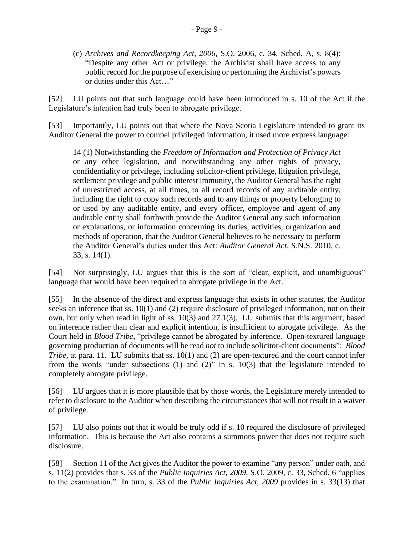(c) *Archives and Recordkeeping Act, 2006*, S.O. 2006, c. 34, Sched. A, s. 8(4): "Despite any other Act or privilege, the Archivist shall have access to any public record for the purpose of exercising or performing the Archivist's powers or duties under this Act…"

[52] LU points out that such language could have been introduced in s. 10 of the Act if the Legislature's intention had truly been to abrogate privilege.

[53] Importantly, LU points out that where the Nova Scotia Legislature intended to grant its Auditor General the power to compel privileged information, it used more express language:

14 (1) Notwithstanding the *Freedom of Information and Protection of Privacy Act* or any other legislation, and notwithstanding any other rights of privacy, confidentiality or privilege, including solicitor-client privilege, litigation privilege, settlement privilege and public interest immunity, the Auditor General has the right of unrestricted access, at all times, to all record records of any auditable entity, including the right to copy such records and to any things or property belonging to or used by any auditable entity, and every officer, employee and agent of any auditable entity shall forthwith provide the Auditor General any such information or explanations, or information concerning its duties, activities, organization and methods of operation, that the Auditor General believes to be necessary to perform the Auditor General's duties under this Act: *Auditor General Act*, S.N.S. 2010, c. 33, s. 14(1).

[54] Not surprisingly, LU argues that this is the sort of "clear, explicit, and unambiguous" language that would have been required to abrogate privilege in the Act.

[55] In the absence of the direct and express language that exists in other statutes, the Auditor seeks an inference that ss. 10(1) and (2) require disclosure of privileged information, not on their own, but only when read in light of ss. 10(3) and 27.1(3). LU submits that this argument, based on inference rather than clear and explicit intention, is insufficient to abrogate privilege. As the Court held in *Blood Tribe*, "privilege cannot be abrogated by inference. Open-textured language governing production of documents will be read *not* to include solicitor-client documents": *Blood Tribe*, at para. 11. LU submits that ss. 10(1) and (2) are open-textured and the court cannot infer from the words "under subsections (1) and (2)" in s. 10(3) that the legislature intended to completely abrogate privilege.

[56] LU argues that it is more plausible that by those words, the Legislature merely intended to refer to disclosure to the Auditor when describing the circumstances that will not result in a waiver of privilege.

[57] LU also points out that it would be truly odd if s. 10 required the disclosure of privileged information. This is because the Act also contains a summons power that does not require such disclosure.

[58] Section 11 of the Act gives the Auditor the power to examine "any person" under oath, and s. 11(2) provides that s. 33 of the *Public Inquiries Act*, *2009*, S.O. 2009, c. 33, Sched. 6 "applies to the examination." In turn, s. 33 of the *Public Inquiries Act, 2009* provides in s. 33(13) that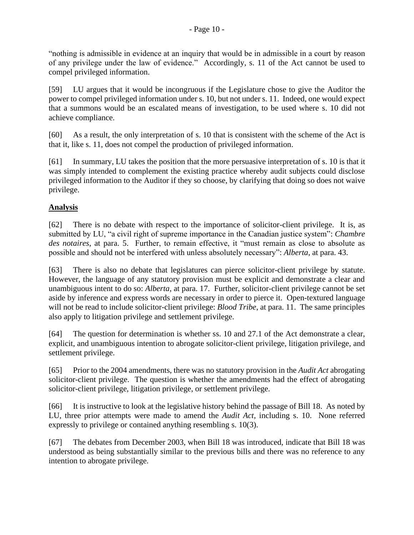"nothing is admissible in evidence at an inquiry that would be in admissible in a court by reason of any privilege under the law of evidence." Accordingly, s. 11 of the Act cannot be used to compel privileged information.

[59] LU argues that it would be incongruous if the Legislature chose to give the Auditor the power to compel privileged information under s. 10, but not under s. 11. Indeed, one would expect that a summons would be an escalated means of investigation, to be used where s. 10 did not achieve compliance.

[60] As a result, the only interpretation of s. 10 that is consistent with the scheme of the Act is that it, like s. 11, does not compel the production of privileged information.

[61] In summary, LU takes the position that the more persuasive interpretation of s. 10 is that it was simply intended to complement the existing practice whereby audit subjects could disclose privileged information to the Auditor if they so choose, by clarifying that doing so does not waive privilege.

## **Analysis**

[62] There is no debate with respect to the importance of solicitor-client privilege. It is, as submitted by LU, "a civil right of supreme importance in the Canadian justice system": *Chambre des notaires*, at para. 5. Further, to remain effective, it "must remain as close to absolute as possible and should not be interfered with unless absolutely necessary": *Alberta*, at para. 43.

[63] There is also no debate that legislatures can pierce solicitor-client privilege by statute. However, the language of any statutory provision must be explicit and demonstrate a clear and unambiguous intent to do so: *Alberta*, at para. 17. Further, solicitor-client privilege cannot be set aside by inference and express words are necessary in order to pierce it. Open-textured language will not be read to include solicitor-client privilege: *Blood Tribe*, at para. 11. The same principles also apply to litigation privilege and settlement privilege.

[64] The question for determination is whether ss. 10 and 27.1 of the Act demonstrate a clear, explicit, and unambiguous intention to abrogate solicitor-client privilege, litigation privilege, and settlement privilege.

[65] Prior to the 2004 amendments, there was no statutory provision in the *Audit Act* abrogating solicitor-client privilege. The question is whether the amendments had the effect of abrogating solicitor-client privilege, litigation privilege, or settlement privilege.

[66] It is instructive to look at the legislative history behind the passage of Bill 18. As noted by LU, three prior attempts were made to amend the *Audit Act*, including s. 10. None referred expressly to privilege or contained anything resembling s. 10(3).

[67] The debates from December 2003, when Bill 18 was introduced, indicate that Bill 18 was understood as being substantially similar to the previous bills and there was no reference to any intention to abrogate privilege.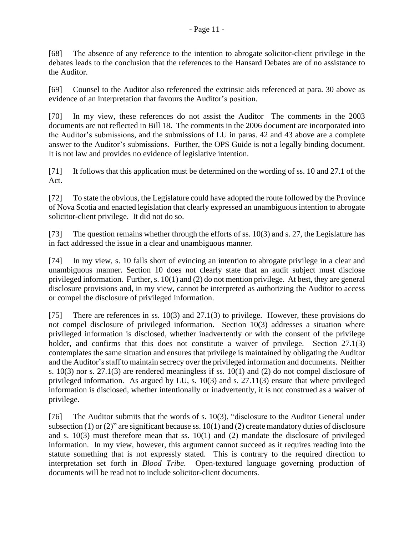[69] Counsel to the Auditor also referenced the extrinsic aids referenced at para. 30 above as evidence of an interpretation that favours the Auditor's position.

[70] In my view, these references do not assist the Auditor The comments in the 2003 documents are not reflected in Bill 18. The comments in the 2006 document are incorporated into the Auditor's submissions, and the submissions of LU in paras. 42 and 43 above are a complete answer to the Auditor's submissions. Further, the OPS Guide is not a legally binding document. It is not law and provides no evidence of legislative intention.

[71] It follows that this application must be determined on the wording of ss. 10 and 27.1 of the Act.

[72] To state the obvious, the Legislature could have adopted the route followed by the Province of Nova Scotia and enacted legislation that clearly expressed an unambiguous intention to abrogate solicitor-client privilege. It did not do so.

[73] The question remains whether through the efforts of ss. 10(3) and s. 27, the Legislature has in fact addressed the issue in a clear and unambiguous manner.

[74] In my view, s. 10 falls short of evincing an intention to abrogate privilege in a clear and unambiguous manner. Section 10 does not clearly state that an audit subject must disclose privileged information. Further, s. 10(1) and (2) do not mention privilege. At best, they are general disclosure provisions and, in my view, cannot be interpreted as authorizing the Auditor to access or compel the disclosure of privileged information.

[75] There are references in ss. 10(3) and 27.1(3) to privilege. However, these provisions do not compel disclosure of privileged information. Section 10(3) addresses a situation where privileged information is disclosed, whether inadvertently or with the consent of the privilege holder, and confirms that this does not constitute a waiver of privilege. Section 27.1(3) contemplates the same situation and ensures that privilege is maintained by obligating the Auditor and the Auditor's staff to maintain secrecy over the privileged information and documents. Neither s. 10(3) nor s. 27.1(3) are rendered meaningless if ss. 10(1) and (2) do not compel disclosure of privileged information. As argued by LU, s. 10(3) and s. 27.11(3) ensure that where privileged information is disclosed, whether intentionally or inadvertently, it is not construed as a waiver of privilege.

[76] The Auditor submits that the words of s. 10(3), "disclosure to the Auditor General under subsection (1) or (2)" are significant because ss. 10(1) and (2) create mandatory duties of disclosure and s. 10(3) must therefore mean that ss. 10(1) and (2) mandate the disclosure of privileged information. In my view, however, this argument cannot succeed as it requires reading into the statute something that is not expressly stated. This is contrary to the required direction to interpretation set forth in *Blood Tribe.* Open-textured language governing production of documents will be read not to include solicitor-client documents.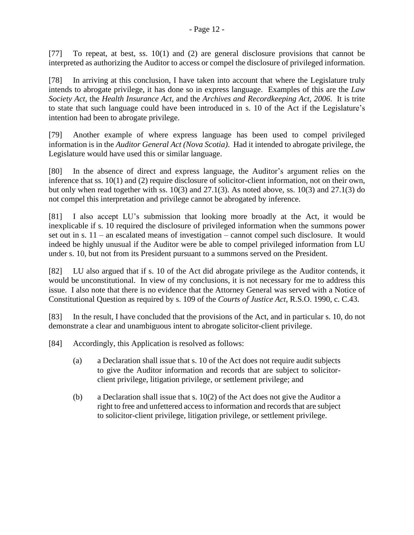[77] To repeat, at best, ss. 10(1) and (2) are general disclosure provisions that cannot be interpreted as authorizing the Auditor to access or compel the disclosure of privileged information.

[78] In arriving at this conclusion, I have taken into account that where the Legislature truly intends to abrogate privilege, it has done so in express language. Examples of this are the *Law Society Act,* the *Health Insurance Act*, and the *Archives and Recordkeeping Act, 2006*. It is trite to state that such language could have been introduced in s. 10 of the Act if the Legislature's intention had been to abrogate privilege.

[79] Another example of where express language has been used to compel privileged information is in the *Auditor General Act (Nova Scotia)*. Had it intended to abrogate privilege, the Legislature would have used this or similar language.

[80] In the absence of direct and express language, the Auditor's argument relies on the inference that ss. 10(1) and (2) require disclosure of solicitor-client information, not on their own, but only when read together with ss. 10(3) and 27.1(3). As noted above, ss. 10(3) and 27.1(3) do not compel this interpretation and privilege cannot be abrogated by inference.

[81] I also accept LU's submission that looking more broadly at the Act, it would be inexplicable if s. 10 required the disclosure of privileged information when the summons power set out in s. 11 – an escalated means of investigation – cannot compel such disclosure. It would indeed be highly unusual if the Auditor were be able to compel privileged information from LU under s. 10, but not from its President pursuant to a summons served on the President.

[82] LU also argued that if s. 10 of the Act did abrogate privilege as the Auditor contends, it would be unconstitutional. In view of my conclusions, it is not necessary for me to address this issue. I also note that there is no evidence that the Attorney General was served with a Notice of Constitutional Question as required by s. 109 of the *Courts of Justice Act*, R.S.O. 1990, c. C.43.

[83] In the result, I have concluded that the provisions of the Act, and in particular s. 10, do not demonstrate a clear and unambiguous intent to abrogate solicitor-client privilege.

- [84] Accordingly, this Application is resolved as follows:
	- (a) a Declaration shall issue that s. 10 of the Act does not require audit subjects to give the Auditor information and records that are subject to solicitorclient privilege, litigation privilege, or settlement privilege; and
	- (b) a Declaration shall issue that s. 10(2) of the Act does not give the Auditor a right to free and unfettered access to information and records that are subject to solicitor-client privilege, litigation privilege, or settlement privilege.